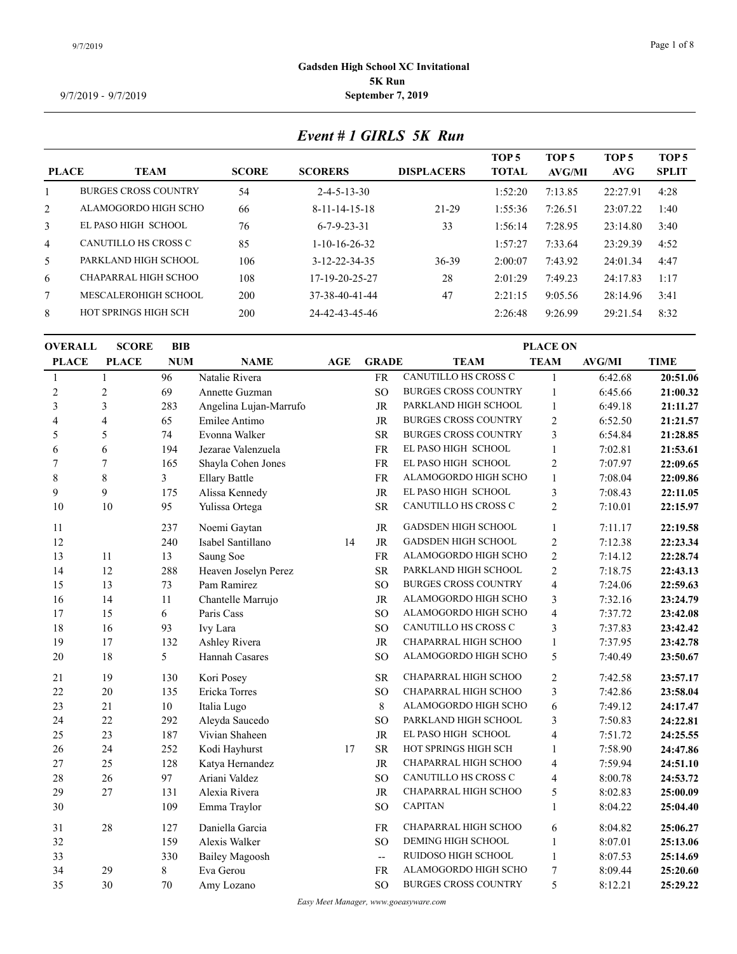#### 9/7/2019 Page 1 of 8

#### **Gadsden High School XC Invitational 5K Run** 9/7/2019 - 9/7/2019 **September 7, 2019**

### *Event # 1 GIRLS 5K Run*

| <b>PLACE</b>   | <b>TEAM</b>                 | <b>SCORE</b> | <b>SCORERS</b>          | <b>DISPLACERS</b> | TOP <sub>5</sub><br><b>TOTAL</b> | TOP 5<br>AVG/MI | TOP 5<br>AVG- | TOP <sub>5</sub><br><b>SPLIT</b> |
|----------------|-----------------------------|--------------|-------------------------|-------------------|----------------------------------|-----------------|---------------|----------------------------------|
|                | <b>BURGES CROSS COUNTRY</b> | 54           | $2 - 4 - 5 - 13 - 30$   |                   | 1:52:20                          | 7:13.85         | 22:27.91      | 4:28                             |
| $\overline{2}$ | ALAMOGORDO HIGH SCHO        | 66           | $8 - 11 - 14 - 15 - 18$ | $21-29$           | 1:55:36                          | 7:26.51         | 23:07.22      | 1:40                             |
| 3              | EL PASO HIGH SCHOOL         | 76           | $6 - 7 - 9 - 23 - 31$   | 33                | l:56:14                          | 7:28.95         | 23:14.80      | 3:40                             |
| $\overline{4}$ | CANUTILLO HS CROSS C        | 85           | $1-10-16-26-32$         |                   | l:57:27                          | 7:33.64         | 23:29.39      | 4:52                             |
| 5              | PARKLAND HIGH SCHOOL        | 106          | $3 - 12 - 22 - 34 - 35$ | $36 - 39$         | 2:00:07                          | 7:43.92         | 24:01.34      | 4:47                             |
| 6              | CHAPARRAL HIGH SCHOO        | 108          | 17-19-20-25-27          | 28                | 2:01:29                          | 7:49.23         | 24:17.83      | 1:17                             |
| 7              | MESCALEROHIGH SCHOOL        | 200          | 37-38-40-41-44          | 47                | 2:21:15                          | 9:05.56         | 28:14.96      | 3:41                             |
| 8              | HOT SPRINGS HIGH SCH        | 200          | 24-42-43-45-46          |                   | 2:26:48                          | 9:26.99         | 29:21.54      | 8:32                             |
|                |                             |              |                         |                   |                                  |                 |               |                                  |

### **OVERALL SCORE BIB PLACE PLACE NUM NAME AGE GRADE TEAM TEAM TIME PLACE ON AVG/MI** 1 96 Natalie Rivera FR CANUTILLO HS CROSS C 1 6:42.68 **20:51.06** 2 69 Annette Guzman SO BURGES CROSS COUNTRY 1 6:45.66 **21:00.32** 3 283 Angelina Lujan-Marrufo JR PARKLAND HIGH SCHOOL 1 6:49.18 **21:11.27** 4 65 Emilee Antimo JR BURGES CROSS COUNTRY 2 6:52.50 **21:21.57** 5 74 Evonna Walker SR BURGES CROSS COUNTRY 3 6:54.84 **21:28.85** 6 194 Jezarae Valenzuela FR EL PASO HIGH SCHOOL 1 7:02.81 **21:53.61** 7 165 Shayla Cohen Jones FR EL PASO HIGH SCHOOL 2 7:07.97 **22:09.65** 8 3 Ellary Battle FR ALAMOGORDO HIGH SCHO 1 7:08.04 **22:09.86** 9 175 Alissa Kennedy JR EL PASO HIGH SCHOOL 3 7:08.43 **22:11.05** 10 95 Yulissa Ortega SR CANUTILLO HS CROSS C 2 7:10.01 **22:15.97** 237 Noemi Gaytan JR GADSDEN HIGH SCHOOL 1 7:11.17 **22:19.58** 240 Isabel Santillano 14 JR GADSDEN HIGH SCHOOL 2 7:12.38 **22:23.34** 11 13 Saung Soe FR ALAMOGORDO HIGH SCHO 2 7:14.12 **22:28.74** 12 288 Heaven Joselyn Perez SR PARKLAND HIGH SCHOOL 2 7:18.75 **22:43.13** 13 73 Pam Ramirez SO BURGES CROSS COUNTRY 4 7:24.06 **22:59.63** 14 11 Chantelle Marrujo JR ALAMOGORDO HIGH SCHO 3 7:32.16 **23:24.79** 17 15 6 Paris Cass SO ALAMOGORDO HIGH SCHO 4 7:37.72 23:42.08 18 16 93 Ivy Lara SO CANUTILLO HS CROSS C 3 7:37.83 23:42.42 17 132 Ashley Rivera JR CHAPARRAL HIGH SCHOO 1 7:37.95 **23:42.78** 20 18 5 Hannah Casares SO ALAMOGORDO HIGH SCHO 5 7:40.49 23:50.67 19 130 Kori Posey SR CHAPARRAL HIGH SCHOO 2 7:42.58 **23:57.17** 20 135 Ericka Torres SO CHAPARRAL HIGH SCHOO 3 7:42.86 **23:58.04** 21 10 Italia Lugo 8 ALAMOGORDO HIGH SCHO 6 7:49.12 **24:17.47** 22 292 Aleyda Saucedo SO PARKLAND HIGH SCHOOL 3 7:50.83 **24:22.81** 23 187 Vivian Shaheen JR EL PASO HIGH SCHOOL 4 7:51.72 **24:25.55** 24 252 Kodi Hayhurst 17 SR HOT SPRINGS HIGH SCH 1 7:58.90 **24:47.86** 25 128 Katya Hernandez JR CHAPARRAL HIGH SCHOO 4 7:59.94 **24:51.10** 28 26 97 Ariani Valdez SO CANUTILLO HS CROSS C 4 8:00.78 24:53.72 27 131 Alexia Rivera JR CHAPARRAL HIGH SCHOO 5 8:02.83 **25:00.09** 109 Emma Traylor SO CAPITAN 1 8:04.22 **25:04.40** 28 127 Daniella Garcia FR CHAPARRAL HIGH SCHOO 6 8:04.82 **25:06.27** 32 159 Alexis Walker SO DEMING HIGH SCHOOL 1 8:07.01 25:13.06 33 330 Bailey Magoosh -- RUIDOSO HIGH SCHOOL 1 8:07.53 25:14.69 29 8 Eva Gerou FR ALAMOGORDO HIGH SCHO 7 8:09.44 **25:20.60** 35 30 70 Amy Lozano SO BURGES CROSS COUNTRY 5 8:12.21 **25:29.22**

*Easy Meet Manager, www.goeasyware.com*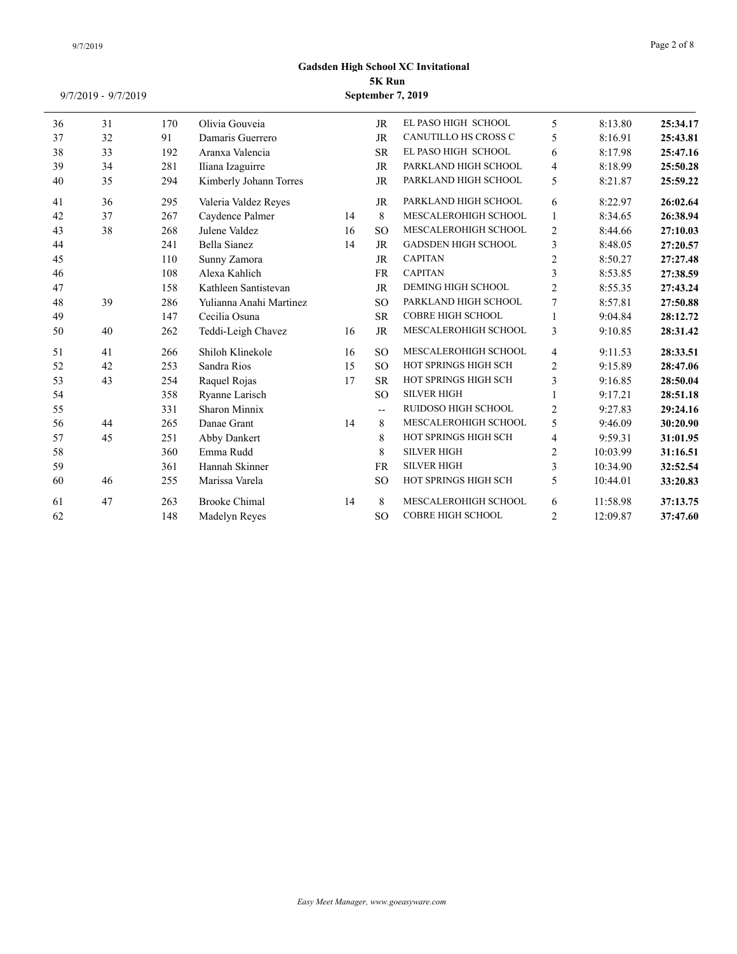| 36 | 31 | 170 | Olivia Gouveia          |    | <b>JR</b>                | EL PASO HIGH SCHOOL        | 5                        | 8:13.80  | 25:34.17 |
|----|----|-----|-------------------------|----|--------------------------|----------------------------|--------------------------|----------|----------|
| 37 | 32 | 91  | Damaris Guerrero        |    | <b>JR</b>                | CANUTILLO HS CROSS C       | 5                        | 8:16.91  | 25:43.81 |
| 38 | 33 | 192 | Aranxa Valencia         |    | <b>SR</b>                | EL PASO HIGH SCHOOL        | 6                        | 8:17.98  | 25:47.16 |
| 39 | 34 | 281 | Iliana Izaguirre        |    | <b>JR</b>                | PARKLAND HIGH SCHOOL       | $\overline{\mathcal{L}}$ | 8:18.99  | 25:50.28 |
| 40 | 35 | 294 | Kimberly Johann Torres  |    | JR                       | PARKLAND HIGH SCHOOL       | 5                        | 8:21.87  | 25:59.22 |
| 41 | 36 | 295 | Valeria Valdez Reyes    |    | JR                       | PARKLAND HIGH SCHOOL       | 6                        | 8:22.97  | 26:02.64 |
| 42 | 37 | 267 | Caydence Palmer         | 14 | 8                        | MESCALEROHIGH SCHOOL       | 1                        | 8:34.65  | 26:38.94 |
| 43 | 38 | 268 | Julene Valdez           | 16 | <b>SO</b>                | MESCALEROHIGH SCHOOL       | $\overline{2}$           | 8:44.66  | 27:10.03 |
| 44 |    | 241 | <b>Bella Sianez</b>     | 14 | <b>JR</b>                | <b>GADSDEN HIGH SCHOOL</b> | 3                        | 8:48.05  | 27:20.57 |
| 45 |    | 110 | Sunny Zamora            |    | <b>JR</b>                | <b>CAPITAN</b>             | $\mathfrak{2}$           | 8:50.27  | 27:27.48 |
| 46 |    | 108 | Alexa Kahlich           |    | <b>FR</b>                | <b>CAPITAN</b>             | 3                        | 8:53.85  | 27:38.59 |
| 47 |    | 158 | Kathleen Santistevan    |    | <b>JR</b>                | <b>DEMING HIGH SCHOOL</b>  | $\mathfrak{2}$           | 8:55.35  | 27:43.24 |
| 48 | 39 | 286 | Yulianna Anahi Martinez |    | <b>SO</b>                | PARKLAND HIGH SCHOOL       | 7                        | 8:57.81  | 27:50.88 |
| 49 |    | 147 | Cecilia Osuna           |    | <b>SR</b>                | <b>COBRE HIGH SCHOOL</b>   |                          | 9:04.84  | 28:12.72 |
| 50 | 40 | 262 | Teddi-Leigh Chavez      | 16 | <b>JR</b>                | MESCALEROHIGH SCHOOL       | 3                        | 9:10.85  | 28:31.42 |
| 51 | 41 | 266 | Shiloh Klinekole        | 16 | <b>SO</b>                | MESCALEROHIGH SCHOOL       | $\overline{4}$           | 9:11.53  | 28:33.51 |
| 52 | 42 | 253 | Sandra Rios             | 15 | <sub>SO</sub>            | HOT SPRINGS HIGH SCH       | $\overline{c}$           | 9:15.89  | 28:47.06 |
| 53 | 43 | 254 | Raquel Rojas            | 17 | <b>SR</b>                | HOT SPRINGS HIGH SCH       | 3                        | 9:16.85  | 28:50.04 |
| 54 |    | 358 | Ryanne Larisch          |    | <sub>SO</sub>            | <b>SILVER HIGH</b>         |                          | 9:17.21  | 28:51.18 |
| 55 |    | 331 | Sharon Minnix           |    | $\overline{\phantom{a}}$ | RUIDOSO HIGH SCHOOL        | $\overline{2}$           | 9:27.83  | 29:24.16 |
| 56 | 44 | 265 | Danae Grant             | 14 | 8                        | MESCALEROHIGH SCHOOL       | 5                        | 9:46.09  | 30:20.90 |
| 57 | 45 | 251 | Abby Dankert            |    | 8                        | HOT SPRINGS HIGH SCH       | 4                        | 9:59.31  | 31:01.95 |
| 58 |    | 360 | Emma Rudd               |    | 8                        | <b>SILVER HIGH</b>         | $\overline{2}$           | 10:03.99 | 31:16.51 |
| 59 |    | 361 | Hannah Skinner          |    | <b>FR</b>                | <b>SILVER HIGH</b>         | 3                        | 10:34.90 | 32:52.54 |
| 60 | 46 | 255 | Marissa Varela          |    | <sub>SO</sub>            | HOT SPRINGS HIGH SCH       | 5                        | 10:44.01 | 33:20.83 |
| 61 | 47 | 263 | <b>Brooke Chimal</b>    | 14 | 8                        | MESCALEROHIGH SCHOOL       | 6                        | 11:58.98 | 37:13.75 |
| 62 |    | 148 | Madelyn Reyes           |    | <sub>SO</sub>            | <b>COBRE HIGH SCHOOL</b>   | $\overline{2}$           | 12:09.87 | 37:47.60 |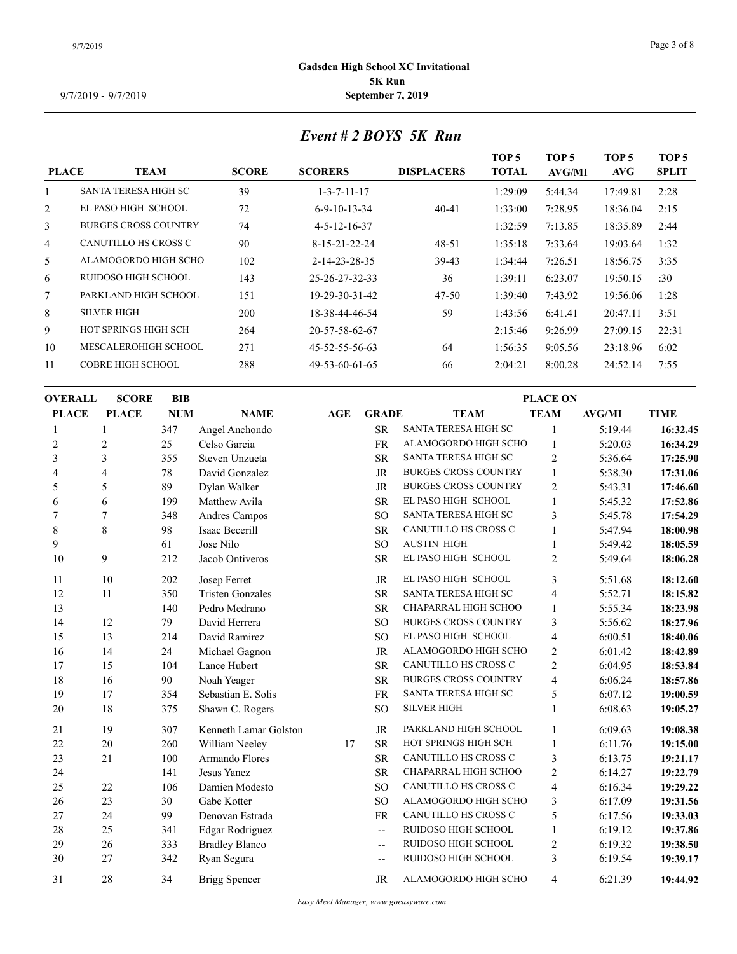# *Event # 2 BOYS 5K Run*

| <b>PLACE</b>   | <b>TEAM</b>                 | <b>SCORE</b> | <b>SCORERS</b>         | <b>DISPLACERS</b> | TOP <sub>5</sub><br><b>TOTAL</b> | TOP <sub>5</sub><br>AVG/MI | TOP 5<br>AVG | TOP <sub>5</sub><br><b>SPLIT</b> |
|----------------|-----------------------------|--------------|------------------------|-------------------|----------------------------------|----------------------------|--------------|----------------------------------|
|                | <b>SANTA TERESA HIGH SC</b> | 39           | $1 - 3 - 7 - 11 - 17$  |                   | 1:29:09                          | 5:44.34                    | 17:49.81     | 2:28                             |
| $\overline{2}$ | EL PASO HIGH SCHOOL         | 72           | $6 - 9 - 10 - 13 - 34$ | $40 - 41$         | 1:33:00                          | 7:28.95                    | 18:36.04     | 2:15                             |
| 3              | <b>BURGES CROSS COUNTRY</b> | 74           | $4 - 5 - 12 - 16 - 37$ |                   | 1:32:59                          | 7:13.85                    | 18:35.89     | 2:44                             |
| $\overline{4}$ | CANUTILLO HS CROSS C        | 90           | 8-15-21-22-24          | $48 - 51$         | 1:35:18                          | 7:33.64                    | 19:03.64     | 1:32                             |
| 5.             | ALAMOGORDO HIGH SCHO        | 102          | 2-14-23-28-35          | 39-43             | 1:34:44                          | 7:26.51                    | 18:56.75     | 3:35                             |
| 6              | RUIDOSO HIGH SCHOOL         | 143          | 25-26-27-32-33         | 36                | 1:39:11                          | 6:23.07                    | 19:50.15     | :30                              |
| $\tau$         | PARKLAND HIGH SCHOOL        | 151          | 19-29-30-31-42         | $47 - 50$         | 1:39:40                          | 7:43.92                    | 19:56.06     | 1:28                             |
| 8              | <b>SILVER HIGH</b>          | 200          | 18-38-44-46-54         | 59                | 1:43:56                          | 6:41.41                    | 20:47.11     | 3:51                             |
| 9              | HOT SPRINGS HIGH SCH        | 264          | 20-57-58-62-67         |                   | 2:15:46                          | 9:26.99                    | 27:09.15     | 22:31                            |
| 10             | MESCALEROHIGH SCHOOL        | 271          | 45-52-55-56-63         | 64                | 1:56:35                          | 9:05.56                    | 23:18.96     | 6:02                             |
| 11             | <b>COBRE HIGH SCHOOL</b>    | 288          | 49-53-60-61-65         | 66                | 2:04:21                          | 8:00.28                    | 24:52.14     | 7:55                             |
|                |                             |              |                        |                   |                                  |                            |              |                                  |

| <b>OVERALL</b> | <b>SCORE</b>   | <b>BIB</b> |                         |     | <b>PLACE ON</b>          |                             |                |               |             |  |  |
|----------------|----------------|------------|-------------------------|-----|--------------------------|-----------------------------|----------------|---------------|-------------|--|--|
| <b>PLACE</b>   | <b>PLACE</b>   | <b>NUM</b> | <b>NAME</b>             | AGE | <b>GRADE</b>             | <b>TEAM</b>                 | <b>TEAM</b>    | <b>AVG/MI</b> | <b>TIME</b> |  |  |
|                |                | 347        | Angel Anchondo          |     | <b>SR</b>                | SANTA TERESA HIGH SC        | -1             | 5:19.44       | 16:32.45    |  |  |
| $\overline{c}$ | $\overline{c}$ | 25         | Celso Garcia            |     | <b>FR</b>                | ALAMOGORDO HIGH SCHO        | $\mathbf{1}$   | 5:20.03       | 16:34.29    |  |  |
| 3              | 3              | 355        | Steven Unzueta          |     | <b>SR</b>                | SANTA TERESA HIGH SC        | $\mathfrak{2}$ | 5:36.64       | 17:25.90    |  |  |
| 4              | 4              | 78         | David Gonzalez          |     | <b>JR</b>                | <b>BURGES CROSS COUNTRY</b> | $\mathbf{1}$   | 5:38.30       | 17:31.06    |  |  |
| 5              | 5              | 89         | Dylan Walker            |     | JR                       | <b>BURGES CROSS COUNTRY</b> | $\mathfrak{2}$ | 5:43.31       | 17:46.60    |  |  |
| 6              | 6              | 199        | Matthew Avila           |     | ${\sf SR}$               | EL PASO HIGH SCHOOL         | $\mathbf{1}$   | 5:45.32       | 17:52.86    |  |  |
| 7              | 7              | 348        | Andres Campos           |     | <b>SO</b>                | SANTA TERESA HIGH SC        | 3              | 5:45.78       | 17:54.29    |  |  |
| $\,$ 8 $\,$    | 8              | 98         | Isaac Becerill          |     | <b>SR</b>                | CANUTILLO HS CROSS C        | $\mathbf{1}$   | 5:47.94       | 18:00.98    |  |  |
| 9              |                | 61         | Jose Nilo               |     | <sub>SO</sub>            | <b>AUSTIN HIGH</b>          | 1              | 5:49.42       | 18:05.59    |  |  |
| 10             | 9              | 212        | Jacob Ontiveros         |     | <b>SR</b>                | EL PASO HIGH SCHOOL         | $\mathfrak{2}$ | 5:49.64       | 18:06.28    |  |  |
| 11             | 10             | 202        | Josep Ferret            |     | <b>JR</b>                | EL PASO HIGH SCHOOL         | 3              | 5:51.68       | 18:12.60    |  |  |
| 12             | 11             | 350        | <b>Tristen Gonzales</b> |     | <b>SR</b>                | SANTA TERESA HIGH SC        | 4              | 5:52.71       | 18:15.82    |  |  |
| 13             |                | 140        | Pedro Medrano           |     | <b>SR</b>                | CHAPARRAL HIGH SCHOO        | $\mathbf{1}$   | 5:55.34       | 18:23.98    |  |  |
| 14             | 12             | 79         | David Herrera           |     | <sub>SO</sub>            | <b>BURGES CROSS COUNTRY</b> | 3              | 5:56.62       | 18:27.96    |  |  |
| 15             | 13             | 214        | David Ramirez           |     | <b>SO</b>                | EL PASO HIGH SCHOOL         | $\overline{4}$ | 6:00.51       | 18:40.06    |  |  |
| 16             | 14             | 24         | Michael Gagnon          |     | JR                       | ALAMOGORDO HIGH SCHO        | $\mathbf{2}$   | 6:01.42       | 18:42.89    |  |  |
| 17             | 15             | 104        | Lance Hubert            |     | <b>SR</b>                | CANUTILLO HS CROSS C        | $\mathbf{2}$   | 6:04.95       | 18:53.84    |  |  |
| 18             | 16             | 90         | Noah Yeager             |     | <b>SR</b>                | <b>BURGES CROSS COUNTRY</b> | 4              | 6:06.24       | 18:57.86    |  |  |
| 19             | 17             | 354        | Sebastian E. Solis      |     | FR                       | SANTA TERESA HIGH SC        | 5              | 6:07.12       | 19:00.59    |  |  |
| 20             | 18             | 375        | Shawn C. Rogers         |     | <sub>SO</sub>            | <b>SILVER HIGH</b>          | 1              | 6:08.63       | 19:05.27    |  |  |
| 21             | 19             | 307        | Kenneth Lamar Golston   |     | <b>JR</b>                | PARKLAND HIGH SCHOOL        |                | 6:09.63       | 19:08.38    |  |  |
| 22             | 20             | 260        | William Neeley          | 17  | <b>SR</b>                | HOT SPRINGS HIGH SCH        | 1              | 6:11.76       | 19:15.00    |  |  |
| 23             | 21             | 100        | Armando Flores          |     | <b>SR</b>                | CANUTILLO HS CROSS C        | 3              | 6:13.75       | 19:21.17    |  |  |
| 24             |                | 141        | Jesus Yanez             |     | ${\sf SR}$               | CHAPARRAL HIGH SCHOO        | $\sqrt{2}$     | 6:14.27       | 19:22.79    |  |  |
| 25             | $22\,$         | 106        | Damien Modesto          |     | <sub>SO</sub>            | CANUTILLO HS CROSS C        | 4              | 6:16.34       | 19:29.22    |  |  |
| 26             | 23             | 30         | Gabe Kotter             |     | <sub>SO</sub>            | ALAMOGORDO HIGH SCHO        | 3              | 6:17.09       | 19:31.56    |  |  |
| 27             | 24             | 99         | Denovan Estrada         |     | FR                       | CANUTILLO HS CROSS C        | 5              | 6:17.56       | 19:33.03    |  |  |
| 28             | 25             | 341        | Edgar Rodriguez         |     | $\overline{\phantom{a}}$ | RUIDOSO HIGH SCHOOL         | $\mathbf{1}$   | 6:19.12       | 19:37.86    |  |  |
| 29             | 26             | 333        | <b>Bradley Blanco</b>   |     | $\overline{\phantom{a}}$ | RUIDOSO HIGH SCHOOL         | $\sqrt{2}$     | 6:19.32       | 19:38.50    |  |  |
| 30             | 27             | 342        | Ryan Segura             |     | --                       | RUIDOSO HIGH SCHOOL         | 3              | 6:19.54       | 19:39.17    |  |  |
| 31             | 28             | 34         | <b>Brigg Spencer</b>    |     | <b>JR</b>                | ALAMOGORDO HIGH SCHO        | $\overline{4}$ | 6:21.39       | 19:44.92    |  |  |
|                |                |            |                         |     |                          |                             |                |               |             |  |  |

*Easy Meet Manager, www.goeasyware.com*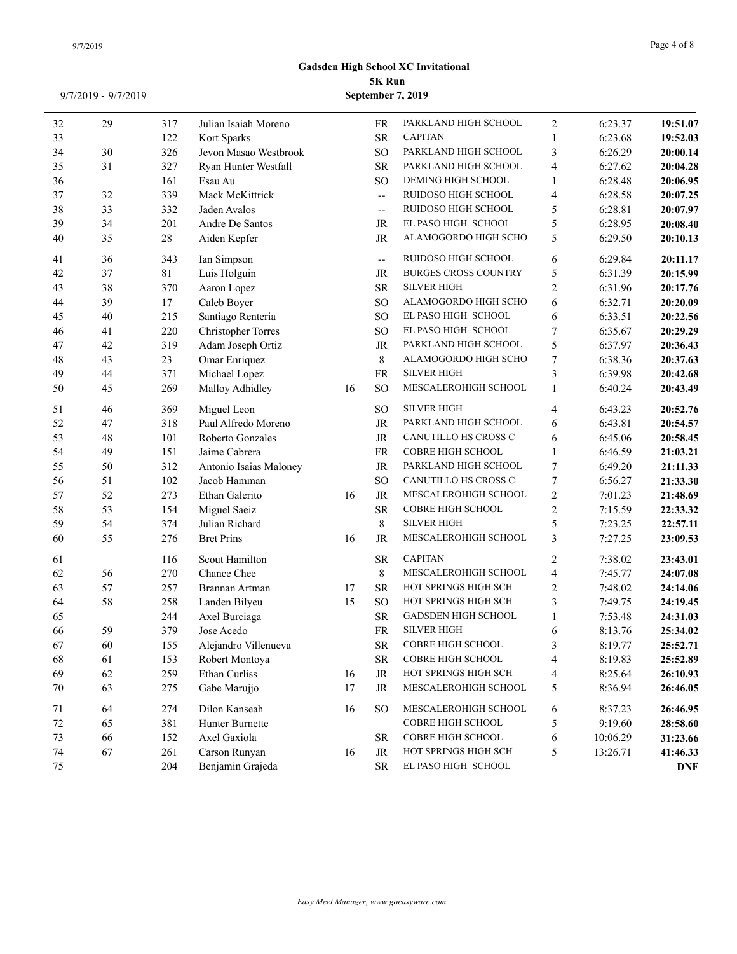| 32       | 29       | 317        | Julian Isaiah Moreno            |    | FR                       | PARKLAND HIGH SCHOOL<br><b>CAPITAN</b> | $\overline{2}$      | 6:23.37            | 19:51.07             |
|----------|----------|------------|---------------------------------|----|--------------------------|----------------------------------------|---------------------|--------------------|----------------------|
| 33       |          | 122        | Kort Sparks                     |    | <b>SR</b>                | PARKLAND HIGH SCHOOL                   | 1                   | 6:23.68            | 19:52.03             |
| 34<br>35 | 30<br>31 | 326<br>327 | Jevon Masao Westbrook           |    | <b>SO</b><br><b>SR</b>   | PARKLAND HIGH SCHOOL                   | 3<br>$\overline{4}$ | 6:26.29<br>6:27.62 | 20:00.14             |
| 36       |          | 161        | Ryan Hunter Westfall<br>Esau Au |    | <sub>SO</sub>            | DEMING HIGH SCHOOL                     | $\mathbf{1}$        | 6:28.48            | 20:04.28             |
| 37       | 32       | 339        | Mack McKittrick                 |    | $\overline{\phantom{a}}$ | RUIDOSO HIGH SCHOOL                    | $\overline{4}$      | 6:28.58            | 20:06.95             |
| 38       | 33       | 332        | Jaden Avalos                    |    | $-$                      | RUIDOSO HIGH SCHOOL                    | 5                   | 6:28.81            | 20:07.25<br>20:07.97 |
| 39       | 34       | 201        | Andre De Santos                 |    | JR                       | EL PASO HIGH SCHOOL                    | 5                   | 6:28.95            | 20:08.40             |
| 40       | 35       | $28\,$     | Aiden Kepfer                    |    | JR                       | ALAMOGORDO HIGH SCHO                   | 5                   | 6:29.50            | 20:10.13             |
|          |          |            |                                 |    |                          |                                        |                     |                    |                      |
| 41       | 36       | 343        | Ian Simpson                     |    | $\overline{\phantom{a}}$ | RUIDOSO HIGH SCHOOL                    | 6                   | 6:29.84            | 20:11.17             |
| 42       | 37       | 81         | Luis Holguin                    |    | JR                       | <b>BURGES CROSS COUNTRY</b>            | 5                   | 6:31.39            | 20:15.99             |
| 43       | 38       | 370        | Aaron Lopez                     |    | <b>SR</b>                | <b>SILVER HIGH</b>                     | 2                   | 6:31.96            | 20:17.76             |
| 44       | 39       | 17         | Caleb Boyer                     |    | <b>SO</b>                | ALAMOGORDO HIGH SCHO                   | 6                   | 6:32.71            | 20:20.09             |
| 45       | $40\,$   | 215        | Santiago Renteria               |    | <sub>SO</sub>            | EL PASO HIGH SCHOOL                    | 6                   | 6:33.51            | 20:22.56             |
| 46       | 41       | 220        | <b>Christopher Torres</b>       |    | <sub>SO</sub>            | EL PASO HIGH SCHOOL                    | $\tau$              | 6:35.67            | 20:29.29             |
| 47       | $42\,$   | 319        | Adam Joseph Ortiz               |    | JR                       | PARKLAND HIGH SCHOOL                   | 5                   | 6:37.97            | 20:36.43             |
| 48       | 43       | 23         | Omar Enriquez                   |    | 8                        | ALAMOGORDO HIGH SCHO                   | $\tau$              | 6:38.36            | 20:37.63             |
| 49       | $44\,$   | 371        | Michael Lopez                   |    | ${\rm FR}$               | <b>SILVER HIGH</b>                     | 3                   | 6:39.98            | 20:42.68             |
| 50       | 45       | 269        | Malloy Adhidley                 | 16 | <sub>SO</sub>            | MESCALEROHIGH SCHOOL                   | $\mathbf{1}$        | 6:40.24            | 20:43.49             |
| 51       | 46       | 369        | Miguel Leon                     |    | <b>SO</b>                | <b>SILVER HIGH</b>                     | $\overline{4}$      | 6:43.23            | 20:52.76             |
| 52       | 47       | 318        | Paul Alfredo Moreno             |    | JR                       | PARKLAND HIGH SCHOOL                   | 6                   | 6:43.81            | 20:54.57             |
| 53       | $48\,$   | 101        | Roberto Gonzales                |    | $\rm JR$                 | CANUTILLO HS CROSS C                   | 6                   | 6:45.06            | 20:58.45             |
| 54       | 49       | 151        | Jaime Cabrera                   |    | FR                       | <b>COBRE HIGH SCHOOL</b>               | $\mathbf{1}$        | 6:46.59            | 21:03.21             |
| 55       | 50       | 312        | Antonio Isaias Maloney          |    | JR                       | PARKLAND HIGH SCHOOL                   | $\tau$              | 6:49.20            | 21:11.33             |
| 56       | 51       | 102        | Jacob Hamman                    |    | <b>SO</b>                | CANUTILLO HS CROSS C                   | $\tau$              | 6:56.27            | 21:33.30             |
| 57       | 52       | 273        | Ethan Galerito                  | 16 | JR                       | MESCALEROHIGH SCHOOL                   | $\overline{2}$      | 7:01.23            | 21:48.69             |
| 58       | 53       | 154        | Miguel Saeiz                    |    | <b>SR</b>                | COBRE HIGH SCHOOL                      | $\overline{2}$      | 7:15.59            | 22:33.32             |
| 59       | 54       | 374        | Julian Richard                  |    | $\,$ 8 $\,$              | <b>SILVER HIGH</b>                     | 5                   | 7:23.25            | 22:57.11             |
| 60       | 55       | 276        | <b>Bret Prins</b>               | 16 | JR                       | MESCALEROHIGH SCHOOL                   | 3                   | 7:27.25            | 23:09.53             |
| 61       |          | 116        | Scout Hamilton                  |    | ${\sf SR}$               | <b>CAPITAN</b>                         | 2                   | 7:38.02            | 23:43.01             |
| 62       | 56       | 270        | Chance Chee                     |    | $\,8\,$                  | MESCALEROHIGH SCHOOL                   | $\overline{4}$      | 7:45.77            | 24:07.08             |
| 63       | 57       | 257        | Brannan Artman                  | 17 | <b>SR</b>                | HOT SPRINGS HIGH SCH                   | $\overline{2}$      | 7:48.02            | 24:14.06             |
| 64       | 58       | 258        | Landen Bilyeu                   | 15 | <b>SO</b>                | HOT SPRINGS HIGH SCH                   | $\overline{3}$      | 7:49.75            | 24:19.45             |
| 65       |          | 244        | Axel Burciaga                   |    | <b>SR</b>                | <b>GADSDEN HIGH SCHOOL</b>             | $\mathbf{1}$        | 7:53.48            | 24:31.03             |
| 66       | 59       | 379        | Jose Acedo                      |    | <b>FR</b>                | <b>SILVER HIGH</b>                     | 6                   | 8:13.76            | 25:34.02             |
| 67       | 60       | 155        | Alejandro Villenueva            |    | ${\rm SR}$               | <b>COBRE HIGH SCHOOL</b>               | $\mathcal{E}$       | 8:19.77            | 25:52.71             |
| 68       | 61       | 153        | Robert Montoya                  |    | <b>SR</b>                | COBRE HIGH SCHOOL                      | 4                   | 8:19.83            | 25:52.89             |
| 69       | 62       | 259        | Ethan Curliss                   | 16 | JR                       | HOT SPRINGS HIGH SCH                   | 4                   | 8:25.64            | 26:10.93             |
| 70       | 63       | 275        | Gabe Marujjo                    | 17 | JR                       | MESCALEROHIGH SCHOOL                   | 5                   | 8:36.94            | 26:46.05             |
| 71       | 64       | 274        | Dilon Kanseah                   | 16 | <sub>SO</sub>            | MESCALEROHIGH SCHOOL                   | 6                   | 8:37.23            | 26:46.95             |
| $72\,$   | 65       | 381        | Hunter Burnette                 |    |                          | COBRE HIGH SCHOOL                      | 5                   | 9:19.60            | 28:58.60             |
| 73       | 66       | 152        | Axel Gaxiola                    |    | <b>SR</b>                | COBRE HIGH SCHOOL                      | 6                   | 10:06.29           | 31:23.66             |
| 74       | 67       | 261        | Carson Runyan                   | 16 | JR                       | HOT SPRINGS HIGH SCH                   | 5                   | 13:26.71           | 41:46.33             |
| 75       |          | 204        | Benjamin Grajeda                |    | <b>SR</b>                | EL PASO HIGH SCHOOL                    |                     |                    | <b>DNF</b>           |
|          |          |            |                                 |    |                          |                                        |                     |                    |                      |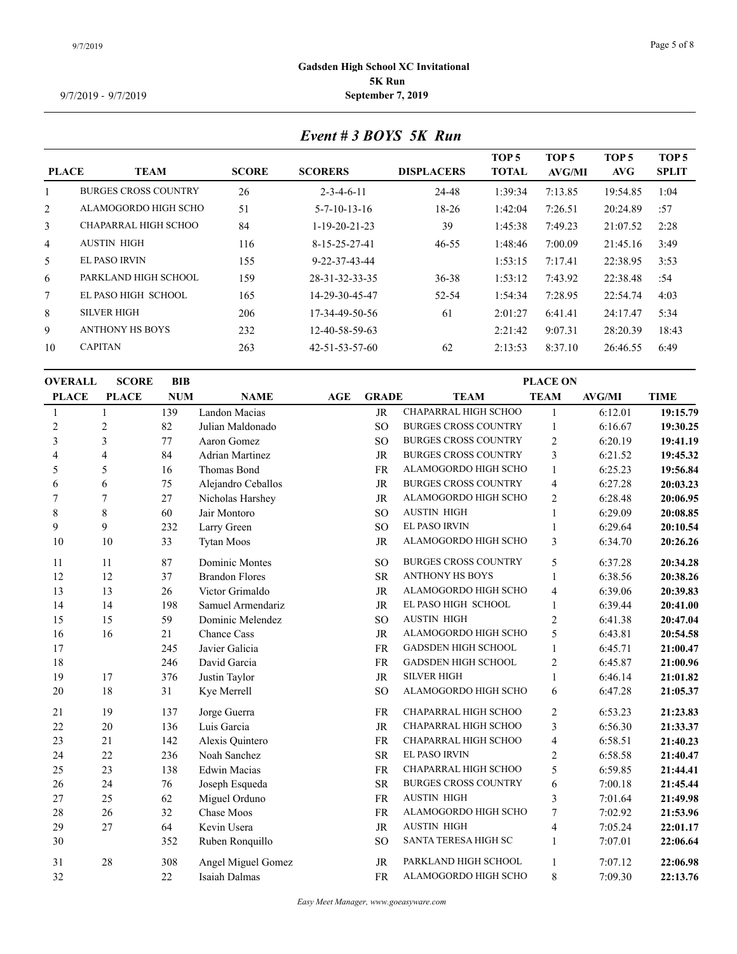# *Event # 3 BOYS 5K Run*

| <b>PLACE</b>   | <b>TEAM</b>                 | <b>SCORE</b> | <b>SCORERS</b>           | <b>DISPLACERS</b> | TOP <sub>5</sub><br><b>TOTAL</b> | TOP <sub>5</sub><br>AVG/MI | TOP <sub>5</sub><br>AVG | TOP <sub>5</sub><br><b>SPLIT</b> |
|----------------|-----------------------------|--------------|--------------------------|-------------------|----------------------------------|----------------------------|-------------------------|----------------------------------|
|                |                             |              |                          |                   |                                  |                            |                         |                                  |
|                | <b>BURGES CROSS COUNTRY</b> | 26           | $2 - 3 - 4 - 6 - 11$     | 24-48             | 1:39:34                          | 7:13.85                    | 19:54.85                | 1:04                             |
| $\overline{2}$ | ALAMOGORDO HIGH SCHO        | 51           | $5 - 7 - 10 - 13 - 16$   | $18-26$           | 1:42:04                          | 7:26.51                    | 20:24.89                | :57                              |
| $\mathbf{3}$   | CHAPARRAL HIGH SCHOO        | 84           | $1-19-20-21-23$          | 39                | 1:45:38                          | 7:49.23                    | 21:07.52                | 2:28                             |
| $\overline{4}$ | <b>AUSTIN HIGH</b>          | 116          | $8-15-25-27-41$          | $46 - 55$         | 1:48:46                          | 7:00.09                    | 21:45.16                | 3:49                             |
| 5              | EL PASO IRVIN               | 155          | $9 - 22 - 37 - 43 - 44$  |                   | 1:53:15                          | 7:17.41                    | 22:38.95                | 3:53                             |
| 6              | PARKLAND HIGH SCHOOL        | 159          | 28-31-32-33-35           | $36 - 38$         | 1:53:12                          | 7:43.92                    | 22:38.48                | :54                              |
| $\tau$         | EL PASO HIGH SCHOOL         | 165          | 14-29-30-45-47           | 52-54             | 1:54:34                          | 7:28.95                    | 22:54.74                | 4:03                             |
| 8              | <b>SILVER HIGH</b>          | 206          | 17-34-49-50-56           | 61                | 2:01:27                          | 6:41.41                    | 24:17.47                | 5:34                             |
| 9              | ANTHONY HS BOYS             | 232          | 12-40-58-59-63           |                   | 2:21:42                          | 9:07.31                    | 28:20.39                | 18:43                            |
| 10             | <b>CAPITAN</b>              | 263          | $42 - 51 - 53 - 57 - 60$ | 62                | 2:13:53                          | 8:37.10                    | 26:46.55                | 6:49                             |
|                |                             |              |                          |                   |                                  |                            |                         |                                  |

| <b>OVERALL</b> | <b>SCORE</b> | <b>BIB</b> |                        | <b>PLACE ON</b> |                 |                             |                  |               |             |  |  |
|----------------|--------------|------------|------------------------|-----------------|-----------------|-----------------------------|------------------|---------------|-------------|--|--|
| <b>PLACE</b>   | <b>PLACE</b> | <b>NUM</b> | <b>NAME</b>            | <b>AGE</b>      | <b>GRADE</b>    | <b>TEAM</b>                 | <b>TEAM</b>      | <b>AVG/MI</b> | <b>TIME</b> |  |  |
| 1              |              | 139        | Landon Macias          |                 | <b>JR</b>       | CHAPARRAL HIGH SCHOO        | 1                | 6:12.01       | 19:15.79    |  |  |
| $\overline{c}$ | 2            | 82         | Julian Maldonado       |                 | <sub>SO</sub>   | <b>BURGES CROSS COUNTRY</b> | $\mathbf{1}$     | 6:16.67       | 19:30.25    |  |  |
| 3              | 3            | 77         | Aaron Gomez            |                 | <sub>SO</sub>   | <b>BURGES CROSS COUNTRY</b> | $\overline{2}$   | 6:20.19       | 19:41.19    |  |  |
| 4              | 4            | 84         | <b>Adrian Martinez</b> |                 | <b>JR</b>       | <b>BURGES CROSS COUNTRY</b> | 3                | 6:21.52       | 19:45.32    |  |  |
| 5              | 5            | 16         | Thomas Bond            |                 | FR              | ALAMOGORDO HIGH SCHO        | $\mathbf{1}$     | 6:25.23       | 19:56.84    |  |  |
| 6              | 6            | 75         | Alejandro Ceballos     |                 | <b>JR</b>       | <b>BURGES CROSS COUNTRY</b> | $\overline{4}$   | 6:27.28       | 20:03.23    |  |  |
| 7              | 7            | 27         | Nicholas Harshey       |                 | <b>JR</b>       | ALAMOGORDO HIGH SCHO        | $\overline{2}$   | 6:28.48       | 20:06.95    |  |  |
| 8              | 8            | 60         | Jair Montoro           |                 | <sub>SO</sub>   | <b>AUSTIN HIGH</b>          | 1                | 6:29.09       | 20:08.85    |  |  |
| 9              | 9            | 232        | Larry Green            |                 | SO <sub>1</sub> | <b>EL PASO IRVIN</b>        | $\mathbf{1}$     | 6:29.64       | 20:10.54    |  |  |
| 10             | 10           | 33         | <b>Tytan Moos</b>      |                 | JR              | ALAMOGORDO HIGH SCHO        | 3                | 6:34.70       | 20:26.26    |  |  |
| 11             | 11           | 87         | Dominic Montes         |                 | <b>SO</b>       | <b>BURGES CROSS COUNTRY</b> | 5                | 6:37.28       | 20:34.28    |  |  |
| 12             | 12           | 37         | <b>Brandon Flores</b>  |                 | <b>SR</b>       | <b>ANTHONY HS BOYS</b>      |                  | 6:38.56       | 20:38.26    |  |  |
| 13             | 13           | 26         | Victor Grimaldo        |                 | <b>JR</b>       | ALAMOGORDO HIGH SCHO        | $\overline{4}$   | 6:39.06       | 20:39.83    |  |  |
| 14             | 14           | 198        | Samuel Armendariz      |                 | <b>JR</b>       | EL PASO HIGH SCHOOL         | $\mathbf{1}$     | 6:39.44       | 20:41.00    |  |  |
| 15             | 15           | 59         | Dominic Melendez       |                 | SO <sub>1</sub> | <b>AUSTIN HIGH</b>          | $\boldsymbol{2}$ | 6:41.38       | 20:47.04    |  |  |
| 16             | 16           | 21         | <b>Chance Cass</b>     |                 | <b>JR</b>       | ALAMOGORDO HIGH SCHO        | 5                | 6:43.81       | 20:54.58    |  |  |
| 17             |              | 245        | Javier Galicia         |                 | <b>FR</b>       | GADSDEN HIGH SCHOOL         | $\mathbf{1}$     | 6:45.71       | 21:00.47    |  |  |
| 18             |              | 246        | David Garcia           |                 | FR              | <b>GADSDEN HIGH SCHOOL</b>  | $\overline{c}$   | 6:45.87       | 21:00.96    |  |  |
| 19             | 17           | 376        | Justin Taylor          |                 | <b>JR</b>       | <b>SILVER HIGH</b>          | 1                | 6:46.14       | 21:01.82    |  |  |
| 20             | 18           | 31         | Kye Merrell            |                 | SO <sub>1</sub> | ALAMOGORDO HIGH SCHO        | 6                | 6:47.28       | 21:05.37    |  |  |
| 21             | 19           | 137        | Jorge Guerra           |                 | <b>FR</b>       | CHAPARRAL HIGH SCHOO        | $\overline{2}$   | 6:53.23       | 21:23.83    |  |  |
| 22             | 20           | 136        | Luis Garcia            |                 | <b>JR</b>       | CHAPARRAL HIGH SCHOO        | 3                | 6:56.30       | 21:33.37    |  |  |
| 23             | 21           | 142        | Alexis Quintero        |                 | <b>FR</b>       | <b>CHAPARRAL HIGH SCHOO</b> | 4                | 6:58.51       | 21:40.23    |  |  |
| 24             | 22           | 236        | Noah Sanchez           |                 | <b>SR</b>       | <b>EL PASO IRVIN</b>        | $\mathfrak{2}$   | 6:58.58       | 21:40.47    |  |  |
| 25             | 23           | 138        | <b>Edwin Macias</b>    |                 | FR              | CHAPARRAL HIGH SCHOO        | 5                | 6:59.85       | 21:44.41    |  |  |
| 26             | 24           | 76         | Joseph Esqueda         |                 | <b>SR</b>       | <b>BURGES CROSS COUNTRY</b> | 6                | 7:00.18       | 21:45.44    |  |  |
| 27             | 25           | 62         | Miguel Orduno          |                 | FR              | <b>AUSTIN HIGH</b>          | 3                | 7:01.64       | 21:49.98    |  |  |
| 28             | 26           | 32         | Chase Moos             |                 | FR              | ALAMOGORDO HIGH SCHO        | $\tau$           | 7:02.92       | 21:53.96    |  |  |
| 29             | 27           | 64         | Kevin Usera            |                 | <b>JR</b>       | <b>AUSTIN HIGH</b>          | 4                | 7:05.24       | 22:01.17    |  |  |
| 30             |              | 352        | Ruben Ronquillo        |                 | <sub>SO</sub>   | SANTA TERESA HIGH SC        | 1                | 7:07.01       | 22:06.64    |  |  |
| 31             | $28\,$       | 308        | Angel Miguel Gomez     |                 | <b>JR</b>       | PARKLAND HIGH SCHOOL        | $\mathbf{1}$     | 7:07.12       | 22:06.98    |  |  |
| 32             |              | 22         | Isaiah Dalmas          |                 | <b>FR</b>       | ALAMOGORDO HIGH SCHO        | 8                | 7:09.30       | 22:13.76    |  |  |
|                |              |            |                        |                 |                 |                             |                  |               |             |  |  |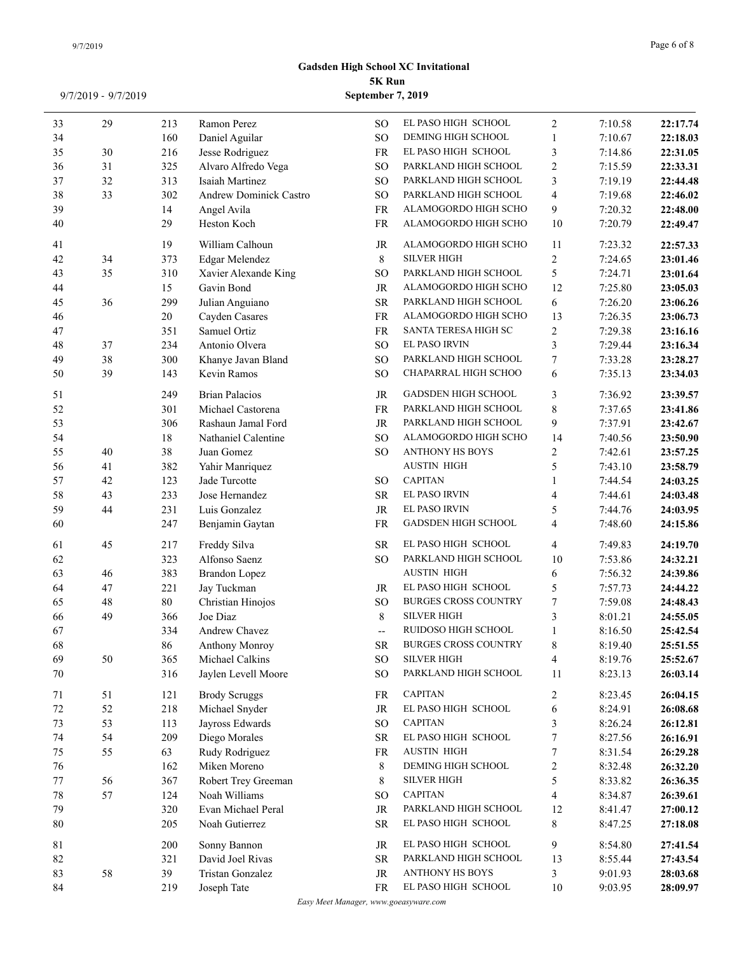| 33     | 29     | 213    | Ramon Perez            | SO.                      | EL PASO HIGH SCHOOL         | $\overline{2}$           | 7:10.58 | 22:17.74 |
|--------|--------|--------|------------------------|--------------------------|-----------------------------|--------------------------|---------|----------|
| 34     |        | 160    | Daniel Aguilar         | <b>SO</b>                | DEMING HIGH SCHOOL          | 1                        | 7:10.67 | 22:18.03 |
| 35     | 30     | 216    | Jesse Rodriguez        | <b>FR</b>                | EL PASO HIGH SCHOOL         | 3                        | 7:14.86 | 22:31.05 |
| 36     | 31     | 325    | Alvaro Alfredo Vega    | <b>SO</b>                | PARKLAND HIGH SCHOOL        | 2                        | 7:15.59 | 22:33.31 |
| 37     | 32     | 313    | Isaiah Martinez        | <b>SO</b>                | PARKLAND HIGH SCHOOL        | 3                        | 7:19.19 | 22:44.48 |
| 38     | 33     | 302    | Andrew Dominick Castro | <b>SO</b>                | PARKLAND HIGH SCHOOL        | 4                        | 7:19.68 | 22:46.02 |
| 39     |        | 14     | Angel Avila            | <b>FR</b>                | ALAMOGORDO HIGH SCHO        | 9                        | 7:20.32 | 22:48.00 |
| 40     |        | 29     | Heston Koch            | FR                       | ALAMOGORDO HIGH SCHO        | 10                       | 7:20.79 | 22:49.47 |
| 41     |        | 19     | William Calhoun        | JR                       | ALAMOGORDO HIGH SCHO        | 11                       | 7:23.32 | 22:57.33 |
| 42     | 34     | 373    | Edgar Melendez         | 8                        | <b>SILVER HIGH</b>          | $\overline{c}$           | 7:24.65 | 23:01.46 |
| 43     | 35     | 310    | Xavier Alexande King   | <sub>SO</sub>            | PARKLAND HIGH SCHOOL        | 5                        | 7:24.71 | 23:01.64 |
| 44     |        | 15     | Gavin Bond             | JR                       | ALAMOGORDO HIGH SCHO        | 12                       | 7:25.80 | 23:05.03 |
| 45     | 36     | 299    | Julian Anguiano        | <b>SR</b>                | PARKLAND HIGH SCHOOL        | 6                        | 7:26.20 | 23:06.26 |
| 46     |        | $20\,$ | Cayden Casares         | FR                       | ALAMOGORDO HIGH SCHO        | 13                       | 7:26.35 | 23:06.73 |
| 47     |        | 351    | Samuel Ortiz           | FR                       | SANTA TERESA HIGH SC        | $\overline{c}$           | 7:29.38 | 23:16.16 |
| 48     | 37     | 234    | Antonio Olvera         | <b>SO</b>                | <b>EL PASO IRVIN</b>        | 3                        | 7:29.44 | 23:16.34 |
| 49     | 38     | 300    | Khanye Javan Bland     | <b>SO</b>                | PARKLAND HIGH SCHOOL        | $\tau$                   | 7:33.28 | 23:28.27 |
| 50     | 39     | 143    | Kevin Ramos            | <b>SO</b>                | CHAPARRAL HIGH SCHOO        | 6                        | 7:35.13 | 23:34.03 |
| 51     |        | 249    | <b>Brian Palacios</b>  | JR                       | <b>GADSDEN HIGH SCHOOL</b>  | 3                        | 7:36.92 | 23:39.57 |
| 52     |        | 301    | Michael Castorena      | FR                       | PARKLAND HIGH SCHOOL        | $\,$ $\,$                | 7:37.65 | 23:41.86 |
| 53     |        | 306    | Rashaun Jamal Ford     | JR                       | PARKLAND HIGH SCHOOL        | 9                        | 7:37.91 | 23:42.67 |
| 54     |        | 18     | Nathaniel Calentine    | SO <sub>1</sub>          | ALAMOGORDO HIGH SCHO        | 14                       | 7:40.56 | 23:50.90 |
| 55     | $40\,$ | 38     | Juan Gomez             | SO <sub>1</sub>          | <b>ANTHONY HS BOYS</b>      | 2                        | 7:42.61 | 23:57.25 |
| 56     | 41     | 382    | Yahir Manriquez        |                          | <b>AUSTIN HIGH</b>          | 5                        | 7:43.10 | 23:58.79 |
| 57     | 42     | 123    | Jade Turcotte          | SO <sub>1</sub>          | <b>CAPITAN</b>              | 1                        | 7:44.54 | 24:03.25 |
| 58     | 43     | 233    | Jose Hernandez         | <b>SR</b>                | EL PASO IRVIN               | 4                        | 7:44.61 | 24:03.48 |
| 59     | 44     | 231    | Luis Gonzalez          | JR                       | <b>EL PASO IRVIN</b>        | 5                        | 7:44.76 | 24:03.95 |
| 60     |        | 247    | Benjamin Gaytan        | <b>FR</b>                | <b>GADSDEN HIGH SCHOOL</b>  | 4                        | 7:48.60 | 24:15.86 |
| 61     | 45     | 217    | Freddy Silva           | <b>SR</b>                | EL PASO HIGH SCHOOL         | $\overline{\mathcal{L}}$ | 7:49.83 | 24:19.70 |
| 62     |        | 323    | Alfonso Saenz          | SO.                      | PARKLAND HIGH SCHOOL        | 10                       | 7:53.86 | 24:32.21 |
| 63     | 46     | 383    | <b>Brandon Lopez</b>   |                          | <b>AUSTIN HIGH</b>          | 6                        | 7:56.32 | 24:39.86 |
| 64     | 47     | 221    | Jay Tuckman            | JR                       | EL PASO HIGH SCHOOL         | 5                        | 7:57.73 | 24:44.22 |
| 65     | 48     | $80\,$ | Christian Hinojos      | <sub>SO</sub>            | <b>BURGES CROSS COUNTRY</b> | 7                        | 7:59.08 | 24:48.43 |
| 66     | 49     | 366    | Joe Diaz               | 8                        | <b>SILVER HIGH</b>          | 3                        | 8:01.21 | 24:55.05 |
| 67     |        | 334    | Andrew Chavez          | $\overline{\phantom{a}}$ | RUIDOSO HIGH SCHOOL         | 1                        | 8:16.50 | 25:42.54 |
| 68     |        | 86     | Anthony Monroy         | ${\sf SR}$               | <b>BURGES CROSS COUNTRY</b> | 8                        | 8:19.40 | 25:51.55 |
| 69     | 50     | 365    | Michael Calkins        | <sub>SO</sub>            | <b>SILVER HIGH</b>          | 4                        | 8:19.76 | 25:52.67 |
| 70     |        | 316    | Jaylen Levell Moore    | <sub>SO</sub>            | PARKLAND HIGH SCHOOL        | 11                       | 8:23.13 | 26:03.14 |
| 71     | 51     | 121    | <b>Brody Scruggs</b>   | FR                       | <b>CAPITAN</b>              | $\overline{c}$           | 8:23.45 | 26:04.15 |
| $72\,$ | 52     | 218    | Michael Snyder         | JR                       | EL PASO HIGH SCHOOL         | 6                        | 8:24.91 | 26:08.68 |
| 73     | 53     | 113    | Jayross Edwards        | <sub>SO</sub>            | <b>CAPITAN</b>              | 3                        | 8:26.24 | 26:12.81 |
| 74     | 54     | 209    | Diego Morales          | <b>SR</b>                | EL PASO HIGH SCHOOL         | 7                        | 8:27.56 | 26:16.91 |
| 75     | 55     | 63     | Rudy Rodriguez         | FR                       | <b>AUSTIN HIGH</b>          | 7                        | 8:31.54 | 26:29.28 |
| 76     |        | 162    | Miken Moreno           | 8                        | DEMING HIGH SCHOOL          | 2                        | 8:32.48 | 26:32.20 |
| 77     | 56     | 367    | Robert Trey Greeman    | 8                        | <b>SILVER HIGH</b>          | 5                        | 8:33.82 | 26:36.35 |
| 78     | 57     | 124    | Noah Williams          | <sub>SO</sub>            | <b>CAPITAN</b>              | 4                        | 8:34.87 | 26:39.61 |
| 79     |        | 320    | Evan Michael Peral     | JR                       | PARKLAND HIGH SCHOOL        | 12                       | 8:41.47 | 27:00.12 |
| 80     |        | 205    | Noah Gutierrez         | <b>SR</b>                | EL PASO HIGH SCHOOL         | 8                        | 8:47.25 | 27:18.08 |
| 81     |        | 200    | Sonny Bannon           | JR                       | EL PASO HIGH SCHOOL         | 9                        | 8:54.80 | 27:41.54 |
| 82     |        | 321    | David Joel Rivas       | SR.                      | PARKLAND HIGH SCHOOL        | 13                       | 8:55.44 | 27:43.54 |
| 83     | 58     | 39     | Tristan Gonzalez       | JR                       | ANTHONY HS BOYS             | 3                        | 9:01.93 | 28:03.68 |
| 84     |        | 219    | Joseph Tate            | <b>FR</b>                | EL PASO HIGH SCHOOL         | 10                       | 9:03.95 | 28:09.97 |

*Easy Meet Manager, www.goeasyware.com*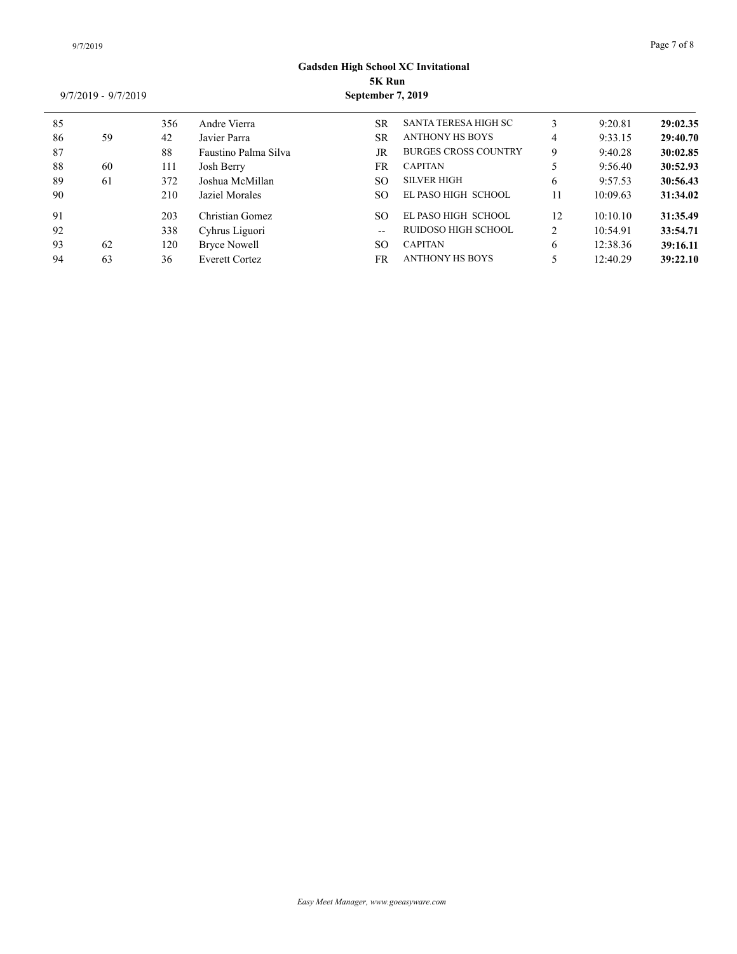| 85 |    | 356 | Andre Vierra          | <b>SR</b>     | <b>SANTA TERESA HIGH SC</b> |                | 9:20.81  | 29:02.35 |
|----|----|-----|-----------------------|---------------|-----------------------------|----------------|----------|----------|
| 86 | 59 | 42  | Javier Parra          | <b>SR</b>     | <b>ANTHONY HS BOYS</b>      | 4              | 9:33.15  | 29:40.70 |
| 87 |    | 88  | Faustino Palma Silva  | JR            | <b>BURGES CROSS COUNTRY</b> | 9              | 9:40.28  | 30:02.85 |
| 88 | 60 | 111 | Josh Berry            | <b>FR</b>     | <b>CAPITAN</b>              |                | 9:56.40  | 30:52.93 |
| 89 | 61 | 372 | Joshua McMillan       | <sub>SO</sub> | <b>SILVER HIGH</b>          | 6              | 9:57.53  | 30:56.43 |
| 90 |    | 210 | Jaziel Morales        | <sub>SO</sub> | EL PASO HIGH SCHOOL         |                | 10:09.63 | 31:34.02 |
| 91 |    | 203 | Christian Gomez       | <b>SO</b>     | EL PASO HIGH SCHOOL         | 12             | 10:10.10 | 31:35.49 |
| 92 |    | 338 | Cyhrus Liguori        | $-$           | RUIDOSO HIGH SCHOOL         | $\overline{2}$ | 10:54.91 | 33:54.71 |
| 93 | 62 | 120 | <b>Bryce Nowell</b>   | <b>SO</b>     | <b>CAPITAN</b>              | 6              | 12:38.36 | 39:16.11 |
| 94 | 63 | 36  | <b>Everett Cortez</b> | FR            | <b>ANTHONY HS BOYS</b>      |                | 12:40.29 | 39:22.10 |
|    |    |     |                       |               |                             |                |          |          |